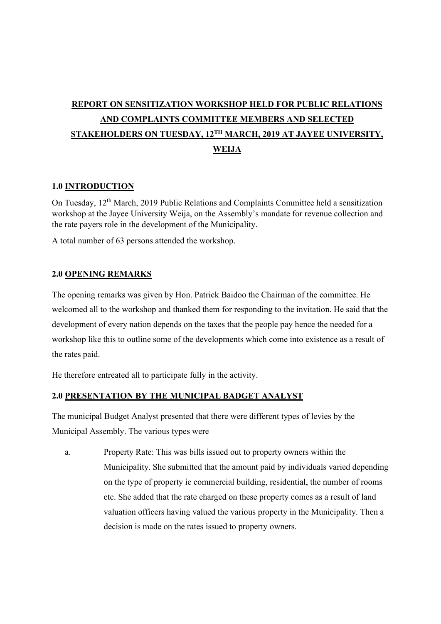# REPORT ON SENSITIZATION WORKSHOP HELD FOR PUBLIC RELATIONS AND COMPLAINTS COMMITTEE MEMBERS AND SELECTED STAKEHOLDERS ON TUESDAY, 12TH MARCH, 2019 AT JAYEE UNIVERSITY, **WEIJA**

## 1.0 INTRODUCTION

On Tuesday, 12th March, 2019 Public Relations and Complaints Committee held a sensitization workshop at the Jayee University Weija, on the Assembly's mandate for revenue collection and the rate payers role in the development of the Municipality.

A total number of 63 persons attended the workshop.

## 2.0 OPENING REMARKS

The opening remarks was given by Hon. Patrick Baidoo the Chairman of the committee. He welcomed all to the workshop and thanked them for responding to the invitation. He said that the development of every nation depends on the taxes that the people pay hence the needed for a workshop like this to outline some of the developments which come into existence as a result of the rates paid.

He therefore entreated all to participate fully in the activity.

#### 2.0 PRESENTATION BY THE MUNICIPAL BADGET ANALYST

The municipal Budget Analyst presented that there were different types of levies by the Municipal Assembly. The various types were

a. Property Rate: This was bills issued out to property owners within the Municipality. She submitted that the amount paid by individuals varied depending on the type of property ie commercial building, residential, the number of rooms etc. She added that the rate charged on these property comes as a result of land valuation officers having valued the various property in the Municipality. Then a decision is made on the rates issued to property owners.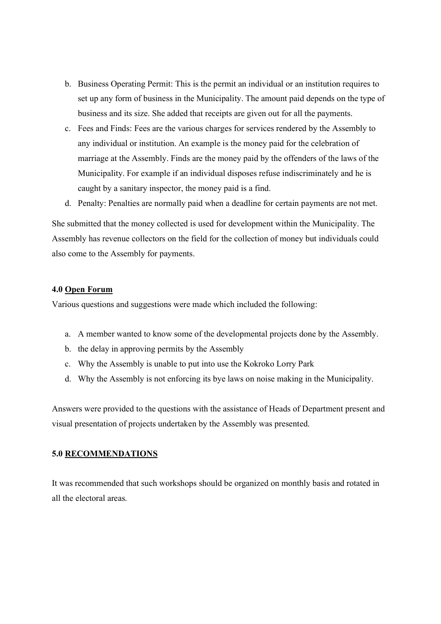- b. Business Operating Permit: This is the permit an individual or an institution requires to set up any form of business in the Municipality. The amount paid depends on the type of business and its size. She added that receipts are given out for all the payments.
- c. Fees and Finds: Fees are the various charges for services rendered by the Assembly to any individual or institution. An example is the money paid for the celebration of marriage at the Assembly. Finds are the money paid by the offenders of the laws of the Municipality. For example if an individual disposes refuse indiscriminately and he is caught by a sanitary inspector, the money paid is a find.
- d. Penalty: Penalties are normally paid when a deadline for certain payments are not met.

She submitted that the money collected is used for development within the Municipality. The Assembly has revenue collectors on the field for the collection of money but individuals could also come to the Assembly for payments.

#### 4.0 Open Forum

Various questions and suggestions were made which included the following:

- a. A member wanted to know some of the developmental projects done by the Assembly.
- b. the delay in approving permits by the Assembly
- c. Why the Assembly is unable to put into use the Kokroko Lorry Park
- d. Why the Assembly is not enforcing its bye laws on noise making in the Municipality.

Answers were provided to the questions with the assistance of Heads of Department present and visual presentation of projects undertaken by the Assembly was presented.

#### 5.0 RECOMMENDATIONS

It was recommended that such workshops should be organized on monthly basis and rotated in all the electoral areas.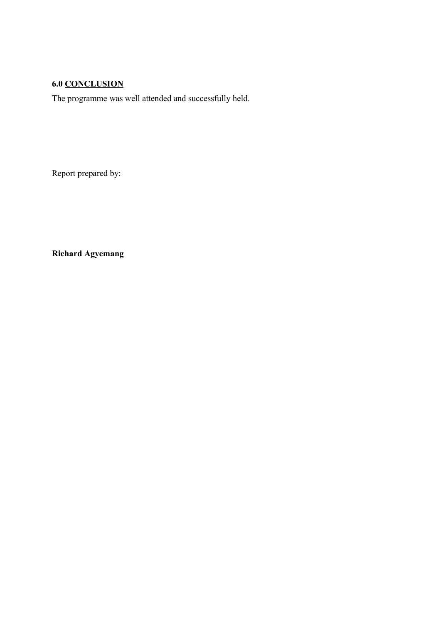## 6.0 CONCLUSION

The programme was well attended and successfully held.

Report prepared by:

Richard Agyemang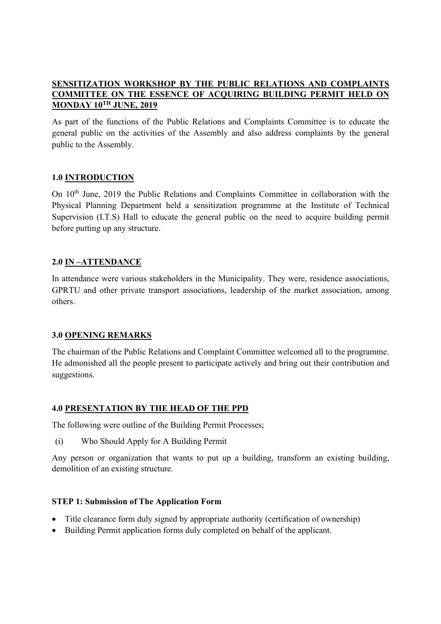## SENSITIZATION WORKSHOP BY THE PUBLIC RELATIONS AND COMPLAINTS COMMITTEE ON THE ESSENCE OF ACQUIRING BUILDING PERMIT HELD ON MONDAY 10TH JUNE, 2019

As part of the functions of the Public Relations and Complaints Committee is to educate the general public on the activities of the Assembly and also address complaints by the general public to the Assembly.

## 1.0 INTRODUCTION

On 10th June, 2019 the Public Relations and Complaints Committee in collaboration with the Physical Planning Department held a sensitization programme at the Institute of Technical Supervision (I.T.S) Hall to educate the general public on the need to acquire building permit before putting up any structure.

## 2.0 IN –ATTENDANCE

In attendance were various stakeholders in the Municipality. They were, residence associations, GPRTU and other private transport associations, leadership of the market association, among others.

## 3.0 OPENING REMARKS

The chairman of the Public Relations and Complaint Committee welcomed all to the programme. He admonished all the people present to participate actively and bring out their contribution and suggestions.

## 4.0 PRESENTATION BY THE HEAD OF THE PPD

The following were outline of the Building Permit Processes;

(i) Who Should Apply for A Building Permit

Any person or organization that wants to put up a building, transform an existing building, demolition of an existing structure.

## STEP 1: Submission of The Application Form

- Title clearance form duly signed by appropriate authority (certification of ownership)
- Building Permit application forms duly completed on behalf of the applicant.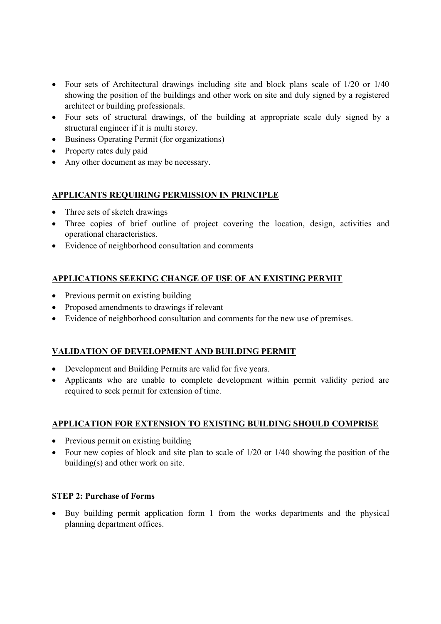- Four sets of Architectural drawings including site and block plans scale of 1/20 or 1/40 showing the position of the buildings and other work on site and duly signed by a registered architect or building professionals.
- Four sets of structural drawings, of the building at appropriate scale duly signed by a structural engineer if it is multi storey.
- Business Operating Permit (for organizations)
- Property rates duly paid
- Any other document as may be necessary.

## APPLICANTS REQUIRING PERMISSION IN PRINCIPLE

- Three sets of sketch drawings
- Three copies of brief outline of project covering the location, design, activities and operational characteristics.
- Evidence of neighborhood consultation and comments

## APPLICATIONS SEEKING CHANGE OF USE OF AN EXISTING PERMIT

- Previous permit on existing building
- Proposed amendments to drawings if relevant
- Evidence of neighborhood consultation and comments for the new use of premises.

## VALIDATION OF DEVELOPMENT AND BUILDING PERMIT

- Development and Building Permits are valid for five years.
- Applicants who are unable to complete development within permit validity period are required to seek permit for extension of time.

#### APPLICATION FOR EXTENSION TO EXISTING BUILDING SHOULD COMPRISE

- Previous permit on existing building
- Four new copies of block and site plan to scale of 1/20 or 1/40 showing the position of the building(s) and other work on site.

#### STEP 2: Purchase of Forms

 Buy building permit application form 1 from the works departments and the physical planning department offices.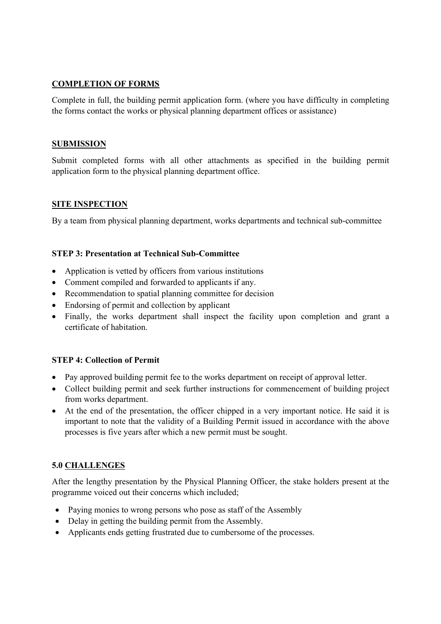## COMPLETION OF FORMS

Complete in full, the building permit application form. (where you have difficulty in completing the forms contact the works or physical planning department offices or assistance)

#### SUBMISSION

Submit completed forms with all other attachments as specified in the building permit application form to the physical planning department office.

## SITE INSPECTION

By a team from physical planning department, works departments and technical sub-committee

## STEP 3: Presentation at Technical Sub-Committee

- Application is vetted by officers from various institutions
- Comment compiled and forwarded to applicants if any.
- Recommendation to spatial planning committee for decision
- Endorsing of permit and collection by applicant
- Finally, the works department shall inspect the facility upon completion and grant a certificate of habitation.

## STEP 4: Collection of Permit

- Pay approved building permit fee to the works department on receipt of approval letter.
- Collect building permit and seek further instructions for commencement of building project from works department.
- At the end of the presentation, the officer chipped in a very important notice. He said it is important to note that the validity of a Building Permit issued in accordance with the above processes is five years after which a new permit must be sought.

## 5.0 CHALLENGES

After the lengthy presentation by the Physical Planning Officer, the stake holders present at the programme voiced out their concerns which included;

- Paying monies to wrong persons who pose as staff of the Assembly
- Delay in getting the building permit from the Assembly.
- Applicants ends getting frustrated due to cumbersome of the processes.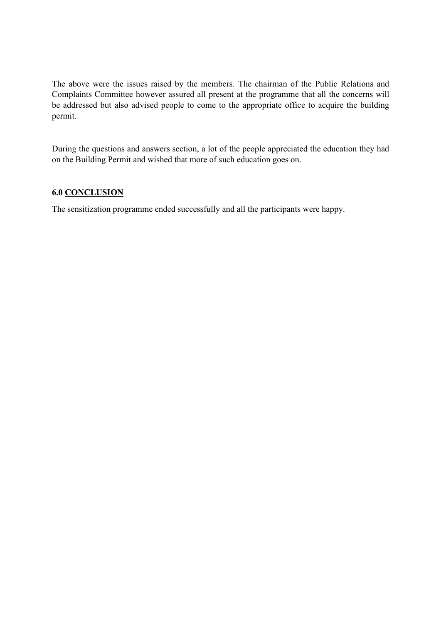The above were the issues raised by the members. The chairman of the Public Relations and Complaints Committee however assured all present at the programme that all the concerns will be addressed but also advised people to come to the appropriate office to acquire the building permit.

During the questions and answers section, a lot of the people appreciated the education they had on the Building Permit and wished that more of such education goes on.

## 6.0 CONCLUSION

The sensitization programme ended successfully and all the participants were happy.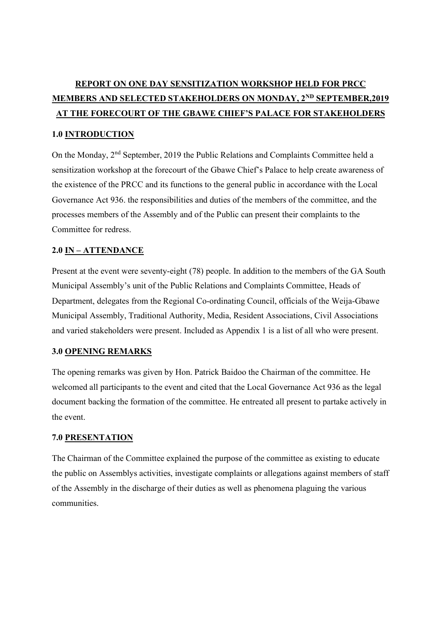# REPORT ON ONE DAY SENSITIZATION WORKSHOP HELD FOR PRCC MEMBERS AND SELECTED STAKEHOLDERS ON MONDAY, 2<sup>ND</sup> SEPTEMBER, 2019 AT THE FORECOURT OF THE GBAWE CHIEF'S PALACE FOR STAKEHOLDERS

## 1.0 INTRODUCTION

On the Monday, 2nd September, 2019 the Public Relations and Complaints Committee held a sensitization workshop at the forecourt of the Gbawe Chief's Palace to help create awareness of the existence of the PRCC and its functions to the general public in accordance with the Local Governance Act 936. the responsibilities and duties of the members of the committee, and the processes members of the Assembly and of the Public can present their complaints to the Committee for redress.

#### 2.0 IN – ATTENDANCE

Present at the event were seventy-eight (78) people. In addition to the members of the GA South Municipal Assembly's unit of the Public Relations and Complaints Committee, Heads of Department, delegates from the Regional Co-ordinating Council, officials of the Weija-Gbawe Municipal Assembly, Traditional Authority, Media, Resident Associations, Civil Associations and varied stakeholders were present. Included as Appendix 1 is a list of all who were present.

#### 3.0 OPENING REMARKS

The opening remarks was given by Hon. Patrick Baidoo the Chairman of the committee. He welcomed all participants to the event and cited that the Local Governance Act 936 as the legal document backing the formation of the committee. He entreated all present to partake actively in the event.

#### 7.0 PRESENTATION

The Chairman of the Committee explained the purpose of the committee as existing to educate the public on Assemblys activities, investigate complaints or allegations against members of staff of the Assembly in the discharge of their duties as well as phenomena plaguing the various communities.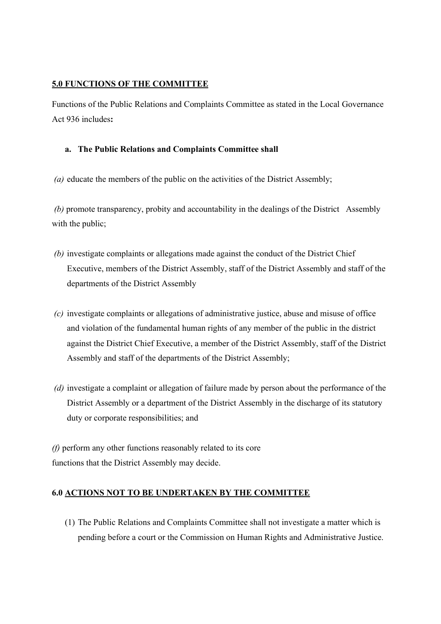## 5.0 FUNCTIONS OF THE COMMITTEE

Functions of the Public Relations and Complaints Committee as stated in the Local Governance Act 936 includes:

#### a. The Public Relations and Complaints Committee shall

(a) educate the members of the public on the activities of the District Assembly;

 (b) promote transparency, probity and accountability in the dealings of the District Assembly with the public;

- (b) investigate complaints or allegations made against the conduct of the District Chief Executive, members of the District Assembly, staff of the District Assembly and staff of the departments of the District Assembly
- (c) investigate complaints or allegations of administrative justice, abuse and misuse of office and violation of the fundamental human rights of any member of the public in the district against the District Chief Executive, a member of the District Assembly, staff of the District Assembly and staff of the departments of the District Assembly;
- (d) investigate a complaint or allegation of failure made by person about the performance of the District Assembly or a department of the District Assembly in the discharge of its statutory duty or corporate responsibilities; and

(f) perform any other functions reasonably related to its core functions that the District Assembly may decide.

## 6.0 ACTIONS NOT TO BE UNDERTAKEN BY THE COMMITTEE

(1) The Public Relations and Complaints Committee shall not investigate a matter which is pending before a court or the Commission on Human Rights and Administrative Justice.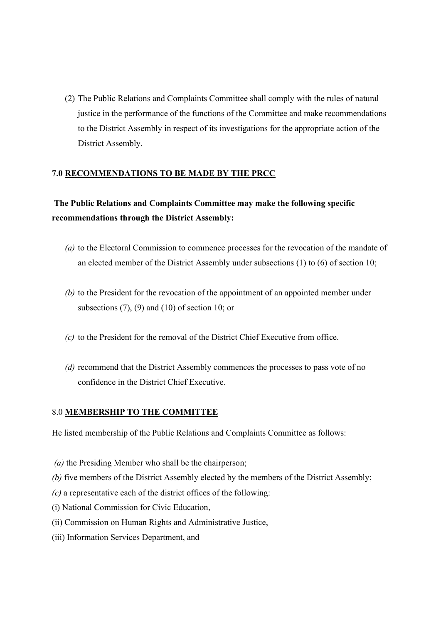(2) The Public Relations and Complaints Committee shall comply with the rules of natural justice in the performance of the functions of the Committee and make recommendations to the District Assembly in respect of its investigations for the appropriate action of the District Assembly.

## 7.0 RECOMMENDATIONS TO BE MADE BY THE PRCC

## The Public Relations and Complaints Committee may make the following specific recommendations through the District Assembly:

- (a) to the Electoral Commission to commence processes for the revocation of the mandate of an elected member of the District Assembly under subsections (1) to (6) of section 10;
- (b) to the President for the revocation of the appointment of an appointed member under subsections  $(7)$ ,  $(9)$  and  $(10)$  of section 10; or
- (c) to the President for the removal of the District Chief Executive from office.
- (d) recommend that the District Assembly commences the processes to pass vote of no confidence in the District Chief Executive.

## 8.0 MEMBERSHIP TO THE COMMITTEE

He listed membership of the Public Relations and Complaints Committee as follows:

- ( $a$ ) the Presiding Member who shall be the chairperson;
- (b) five members of the District Assembly elected by the members of the District Assembly;
- $(c)$  a representative each of the district offices of the following:
- (i) National Commission for Civic Education,
- (ii) Commission on Human Rights and Administrative Justice,
- (iii) Information Services Department, and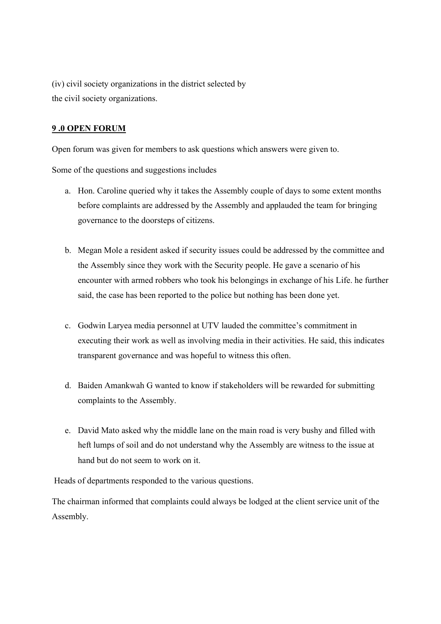(iv) civil society organizations in the district selected by the civil society organizations.

## 9 .0 OPEN FORUM

Open forum was given for members to ask questions which answers were given to.

Some of the questions and suggestions includes

- a. Hon. Caroline queried why it takes the Assembly couple of days to some extent months before complaints are addressed by the Assembly and applauded the team for bringing governance to the doorsteps of citizens.
- b. Megan Mole a resident asked if security issues could be addressed by the committee and the Assembly since they work with the Security people. He gave a scenario of his encounter with armed robbers who took his belongings in exchange of his Life. he further said, the case has been reported to the police but nothing has been done yet.
- c. Godwin Laryea media personnel at UTV lauded the committee's commitment in executing their work as well as involving media in their activities. He said, this indicates transparent governance and was hopeful to witness this often.
- d. Baiden Amankwah G wanted to know if stakeholders will be rewarded for submitting complaints to the Assembly.
- e. David Mato asked why the middle lane on the main road is very bushy and filled with heft lumps of soil and do not understand why the Assembly are witness to the issue at hand but do not seem to work on it.

Heads of departments responded to the various questions.

The chairman informed that complaints could always be lodged at the client service unit of the Assembly.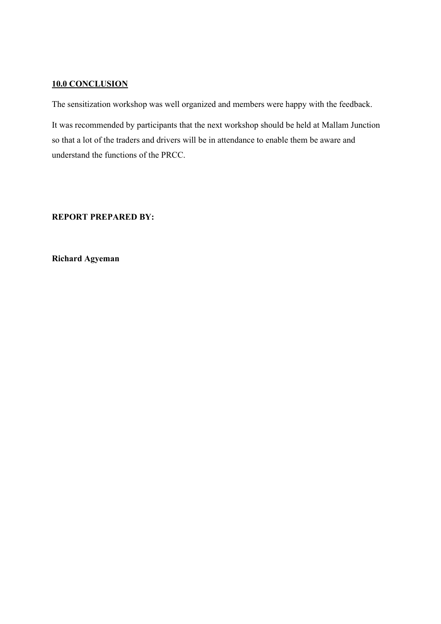#### 10.0 CONCLUSION

The sensitization workshop was well organized and members were happy with the feedback.

It was recommended by participants that the next workshop should be held at Mallam Junction so that a lot of the traders and drivers will be in attendance to enable them be aware and understand the functions of the PRCC.

## REPORT PREPARED BY:

Richard Agyeman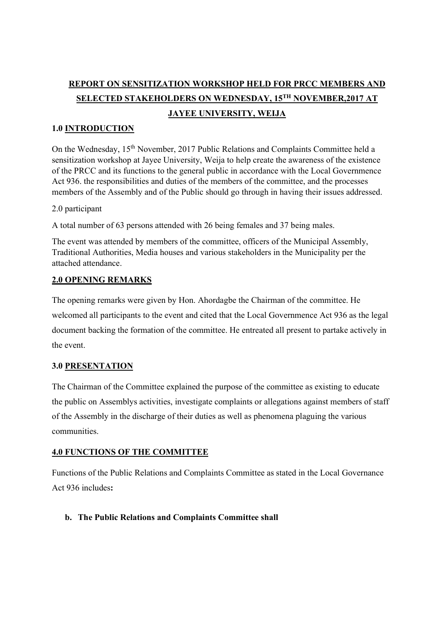# REPORT ON SENSITIZATION WORKSHOP HELD FOR PRCC MEMBERS AND SELECTED STAKEHOLDERS ON WEDNESDAY, 15TH NOVEMBER,2017 AT JAYEE UNIVERSITY, WEIJA

## 1.0 INTRODUCTION

On the Wednesday, 15th November, 2017 Public Relations and Complaints Committee held a sensitization workshop at Jayee University, Weija to help create the awareness of the existence of the PRCC and its functions to the general public in accordance with the Local Governmence Act 936. the responsibilities and duties of the members of the committee, and the processes members of the Assembly and of the Public should go through in having their issues addressed.

#### 2.0 participant

A total number of 63 persons attended with 26 being females and 37 being males.

The event was attended by members of the committee, officers of the Municipal Assembly, Traditional Authorities, Media houses and various stakeholders in the Municipality per the attached attendance.

## 2.0 OPENING REMARKS

The opening remarks were given by Hon. Ahordagbe the Chairman of the committee. He welcomed all participants to the event and cited that the Local Governmence Act 936 as the legal document backing the formation of the committee. He entreated all present to partake actively in the event.

#### 3.0 PRESENTATION

The Chairman of the Committee explained the purpose of the committee as existing to educate the public on Assemblys activities, investigate complaints or allegations against members of staff of the Assembly in the discharge of their duties as well as phenomena plaguing the various communities.

#### 4.0 FUNCTIONS OF THE COMMITTEE

Functions of the Public Relations and Complaints Committee as stated in the Local Governance Act 936 includes:

## b. The Public Relations and Complaints Committee shall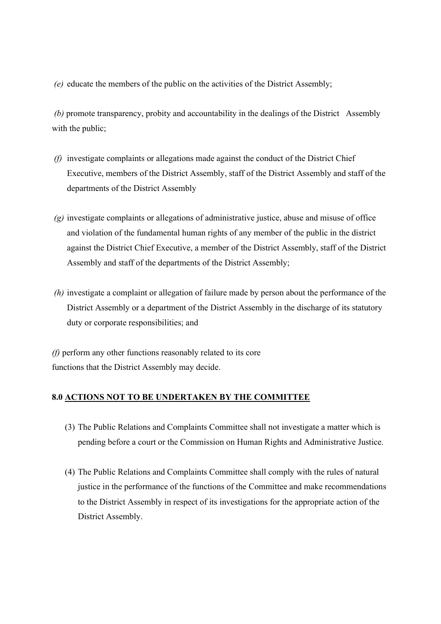(e) educate the members of the public on the activities of the District Assembly;

 (b) promote transparency, probity and accountability in the dealings of the District Assembly with the public:

- $(f)$  investigate complaints or allegations made against the conduct of the District Chief Executive, members of the District Assembly, staff of the District Assembly and staff of the departments of the District Assembly
- $\gamma$ ) investigate complaints or allegations of administrative justice, abuse and misuse of office and violation of the fundamental human rights of any member of the public in the district against the District Chief Executive, a member of the District Assembly, staff of the District Assembly and staff of the departments of the District Assembly;
- (h) investigate a complaint or allegation of failure made by person about the performance of the District Assembly or a department of the District Assembly in the discharge of its statutory duty or corporate responsibilities; and

(f) perform any other functions reasonably related to its core functions that the District Assembly may decide.

#### 8.0 ACTIONS NOT TO BE UNDERTAKEN BY THE COMMITTEE

- (3) The Public Relations and Complaints Committee shall not investigate a matter which is pending before a court or the Commission on Human Rights and Administrative Justice.
- (4) The Public Relations and Complaints Committee shall comply with the rules of natural justice in the performance of the functions of the Committee and make recommendations to the District Assembly in respect of its investigations for the appropriate action of the District Assembly.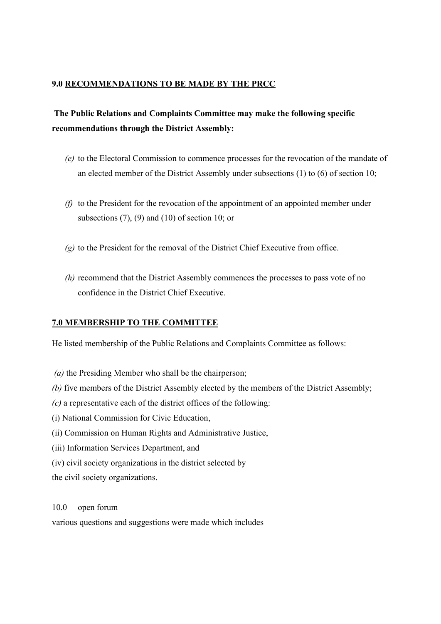## 9.0 RECOMMENDATIONS TO BE MADE BY THE PRCC

## The Public Relations and Complaints Committee may make the following specific recommendations through the District Assembly:

- (e) to the Electoral Commission to commence processes for the revocation of the mandate of an elected member of the District Assembly under subsections (1) to (6) of section 10;
- ( $f$ ) to the President for the revocation of the appointment of an appointed member under subsections  $(7)$ ,  $(9)$  and  $(10)$  of section 10; or
- $(q)$  to the President for the removal of the District Chief Executive from office.
- (h) recommend that the District Assembly commences the processes to pass vote of no confidence in the District Chief Executive.

## 7.0 MEMBERSHIP TO THE COMMITTEE

He listed membership of the Public Relations and Complaints Committee as follows:

- (a) the Presiding Member who shall be the chairperson;
- (b) five members of the District Assembly elected by the members of the District Assembly;
- $(c)$  a representative each of the district offices of the following:
- (i) National Commission for Civic Education,
- (ii) Commission on Human Rights and Administrative Justice,
- (iii) Information Services Department, and
- (iv) civil society organizations in the district selected by
- the civil society organizations.

10.0 open forum

various questions and suggestions were made which includes